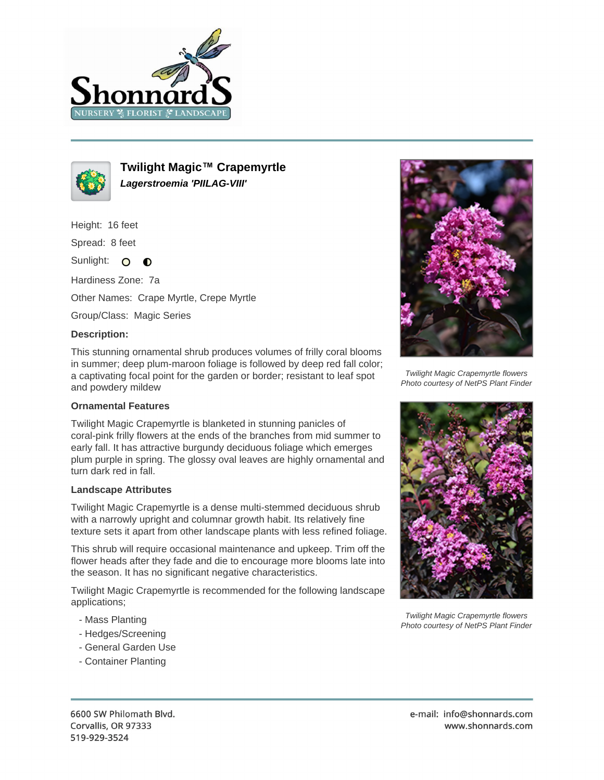



**Twilight Magic™ Crapemyrtle Lagerstroemia 'PIILAG-VIII'**

Height: 16 feet

Spread: 8 feet

Sunlight: O  $\bullet$ 

Hardiness Zone: 7a

Other Names: Crape Myrtle, Crepe Myrtle

Group/Class: Magic Series

## **Description:**

This stunning ornamental shrub produces volumes of frilly coral blooms in summer; deep plum-maroon foliage is followed by deep red fall color; a captivating focal point for the garden or border; resistant to leaf spot and powdery mildew

## **Ornamental Features**

Twilight Magic Crapemyrtle is blanketed in stunning panicles of coral-pink frilly flowers at the ends of the branches from mid summer to early fall. It has attractive burgundy deciduous foliage which emerges plum purple in spring. The glossy oval leaves are highly ornamental and turn dark red in fall.

## **Landscape Attributes**

Twilight Magic Crapemyrtle is a dense multi-stemmed deciduous shrub with a narrowly upright and columnar growth habit. Its relatively fine texture sets it apart from other landscape plants with less refined foliage.

This shrub will require occasional maintenance and upkeep. Trim off the flower heads after they fade and die to encourage more blooms late into the season. It has no significant negative characteristics.

Twilight Magic Crapemyrtle is recommended for the following landscape applications;

- Mass Planting
- Hedges/Screening
- General Garden Use
- Container Planting



Twilight Magic Crapemyrtle flowers Photo courtesy of NetPS Plant Finder



Twilight Magic Crapemyrtle flowers Photo courtesy of NetPS Plant Finder